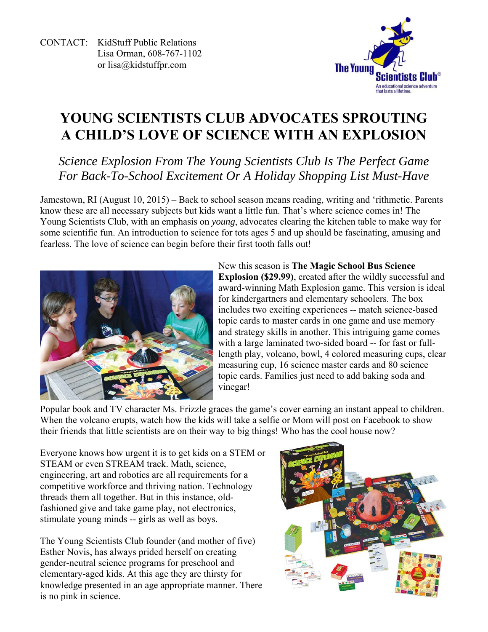CONTACT: KidStuff Public Relations Lisa Orman, 608-767-1102 or lisa@kidstuffpr.com



# **YOUNG SCIENTISTS CLUB ADVOCATES SPROUTING A CHILD'S LOVE OF SCIENCE WITH AN EXPLOSION**

# *Science Explosion From The Young Scientists Club Is The Perfect Game For Back-To-School Excitement Or A Holiday Shopping List Must-Have*

Jamestown, RI (August 10, 2015) – Back to school season means reading, writing and 'rithmetic. Parents know these are all necessary subjects but kids want a little fun. That's where science comes in! The Young Scientists Club, with an emphasis on *young*, advocates clearing the kitchen table to make way for some scientific fun. An introduction to science for tots ages 5 and up should be fascinating, amusing and fearless. The love of science can begin before their first tooth falls out!



New this season is **The Magic School Bus Science Explosion (\$29.99)**, created after the wildly successful and award-winning Math Explosion game. This version is ideal for kindergartners and elementary schoolers. The box includes two exciting experiences -- match science-based topic cards to master cards in one game and use memory and strategy skills in another. This intriguing game comes with a large laminated two-sided board -- for fast or fulllength play, volcano, bowl, 4 colored measuring cups, clear measuring cup, 16 science master cards and 80 science topic cards. Families just need to add baking soda and vinegar!

Popular book and TV character Ms. Frizzle graces the game's cover earning an instant appeal to children. When the volcano erupts, watch how the kids will take a selfie or Mom will post on Facebook to show their friends that little scientists are on their way to big things! Who has the cool house now?

Everyone knows how urgent it is to get kids on a STEM or STEAM or even STREAM track. Math, science, engineering, art and robotics are all requirements for a competitive workforce and thriving nation. Technology threads them all together. But in this instance, oldfashioned give and take game play, not electronics, stimulate young minds -- girls as well as boys.

The Young Scientists Club founder (and mother of five) Esther Novis, has always prided herself on creating gender-neutral science programs for preschool and elementary-aged kids. At this age they are thirsty for knowledge presented in an age appropriate manner. There is no pink in science.

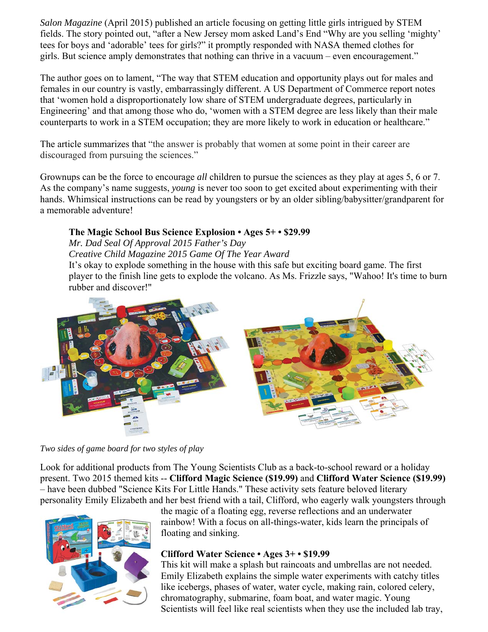*Salon Magazine* (April 2015) published an article focusing on getting little girls intrigued by STEM fields. The story pointed out, "after a New Jersey mom asked Land's End "Why are you selling 'mighty' tees for boys and 'adorable' tees for girls?" it promptly responded with NASA themed clothes for girls. But science amply demonstrates that nothing can thrive in a vacuum – even encouragement."

The author goes on to lament, "The way that STEM education and opportunity plays out for males and females in our country is vastly, embarrassingly different. A US Department of Commerce report notes that 'women hold a disproportionately low share of STEM undergraduate degrees, particularly in Engineering' and that among those who do, 'women with a STEM degree are less likely than their male counterparts to work in a STEM occupation; they are more likely to work in education or healthcare."

The article summarizes that "the answer is probably that women at some point in their career are discouraged from pursuing the sciences."

Grownups can be the force to encourage *all* children to pursue the sciences as they play at ages 5, 6 or 7. As the company's name suggests, *young* is never too soon to get excited about experimenting with their hands. Whimsical instructions can be read by youngsters or by an older sibling/babysitter/grandparent for a memorable adventure!

#### **The Magic School Bus Science Explosion • Ages 5+ • \$29.99**

*Mr. Dad Seal Of Approval 2015 Father's Day* 

*Creative Child Magazine 2015 Game Of The Year Award* 

It's okay to explode something in the house with this safe but exciting board game. The first player to the finish line gets to explode the volcano. As Ms. Frizzle says, "Wahoo! It's time to burn rubber and discover!"



*Two sides of game board for two styles of play* 

Look for additional products from The Young Scientists Club as a back-to-school reward or a holiday present. Two 2015 themed kits -- **Clifford Magic Science (\$19.99)** and **Clifford Water Science (\$19.99)** – have been dubbed "Science Kits For Little Hands." These activity sets feature beloved literary personality Emily Elizabeth and her best friend with a tail, Clifford, who eagerly walk youngsters through



the magic of a floating egg, reverse reflections and an underwater rainbow! With a focus on all-things-water, kids learn the principals of floating and sinking.

#### **Clifford Water Science • Ages 3+ • \$19.99**

This kit will make a splash but raincoats and umbrellas are not needed. Emily Elizabeth explains the simple water experiments with catchy titles like icebergs, phases of water, water cycle, making rain, colored celery, chromatography, submarine, foam boat, and water magic. Young Scientists will feel like real scientists when they use the included lab tray,